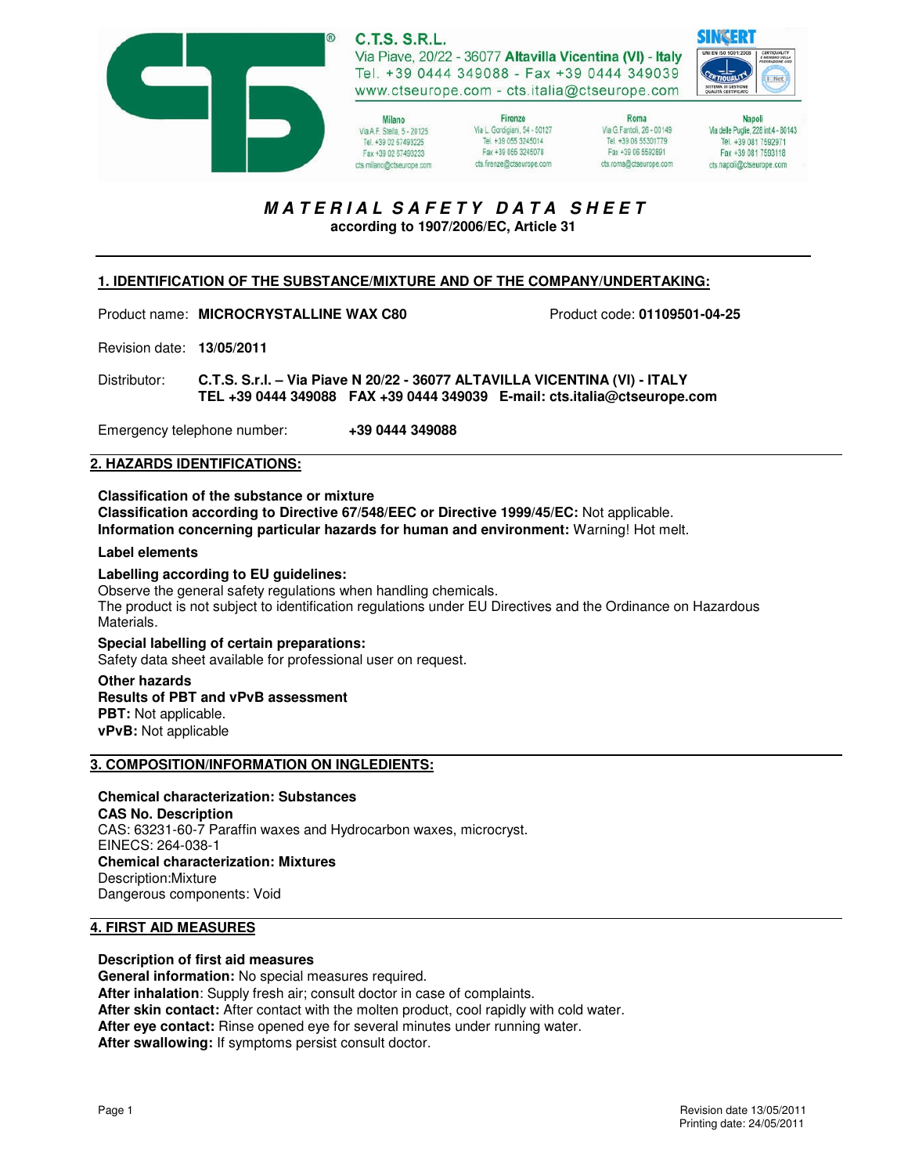

**C.T.S. S.R.L.** Via Piave, 20/22 - 36077 Altavilla Vicentina (VI) - Italy Tel. +39 0444 349088 - Fax +39 0444 349039 www.ctseurope.com - cts.italia@ctseurope.com

Milano Via A.F. Stella, 5 - 20125 Tel. +39 02 67493225 Fax +39 02 67493233 cts.milano@ctseurope.com

Firenze Via L. Gordigiani, 54 - 50127 Tel. +39 055 3245014 Fax +39 055 3245078 cts.frenze@ctseurope.com

Roma Via G.Fantoli, 26 - 00149 Tel. +39 06 55301779 Fax +39 06 5592891 cts.roma@ctseurope.com

Napoli Via delle Puglie, 228 int.4 - 80143 Tel. +39 081 7592971 Fax +39 081 7593118 cts.napoli@ctseurope.com

# **M A T E R I A L S A F E T Y D A T A S H E E T**

**according to 1907/2006/EC, Article 31** 

## **1. IDENTIFICATION OF THE SUBSTANCE/MIXTURE AND OF THE COMPANY/UNDERTAKING:**

Product name: **MICROCRYSTALLINE WAX C80** Product code: **01109501-04-25**

Revision date: **13/05/2011** 

Distributor: **C.T.S. S.r.l. – Via Piave N 20/22 - 36077 ALTAVILLA VICENTINA (VI) - ITALY TEL +39 0444 349088 FAX +39 0444 349039 E-mail: cts.italia@ctseurope.com** 

Emergency telephone number: **+39 0444 349088** 

## **2. HAZARDS IDENTIFICATIONS:**

**Classification of the substance or mixture Classification according to Directive 67/548/EEC or Directive 1999/45/EC:** Not applicable. **Information concerning particular hazards for human and environment:** Warning! Hot melt.

#### **Label elements**

#### **Labelling according to EU guidelines:**

Observe the general safety regulations when handling chemicals. The product is not subject to identification regulations under EU Directives and the Ordinance on Hazardous Materials.

**Special labelling of certain preparations:**  Safety data sheet available for professional user on request.

**Other hazards Results of PBT and vPvB assessment PBT:** Not applicable. **vPvB:** Not applicable

#### **3. COMPOSITION/INFORMATION ON INGLEDIENTS:**

# **Chemical characterization: Substances**

**CAS No. Description**  CAS: 63231-60-7 Paraffin waxes and Hydrocarbon waxes, microcryst. EINECS: 264-038-1 **Chemical characterization: Mixtures**  Description:Mixture Dangerous components: Void

## **4. FIRST AID MEASURES**

#### **Description of first aid measures**

**General information:** No special measures required. **After inhalation**: Supply fresh air; consult doctor in case of complaints. **After skin contact:** After contact with the molten product, cool rapidly with cold water. **After eye contact:** Rinse opened eye for several minutes under running water. **After swallowing:** If symptoms persist consult doctor.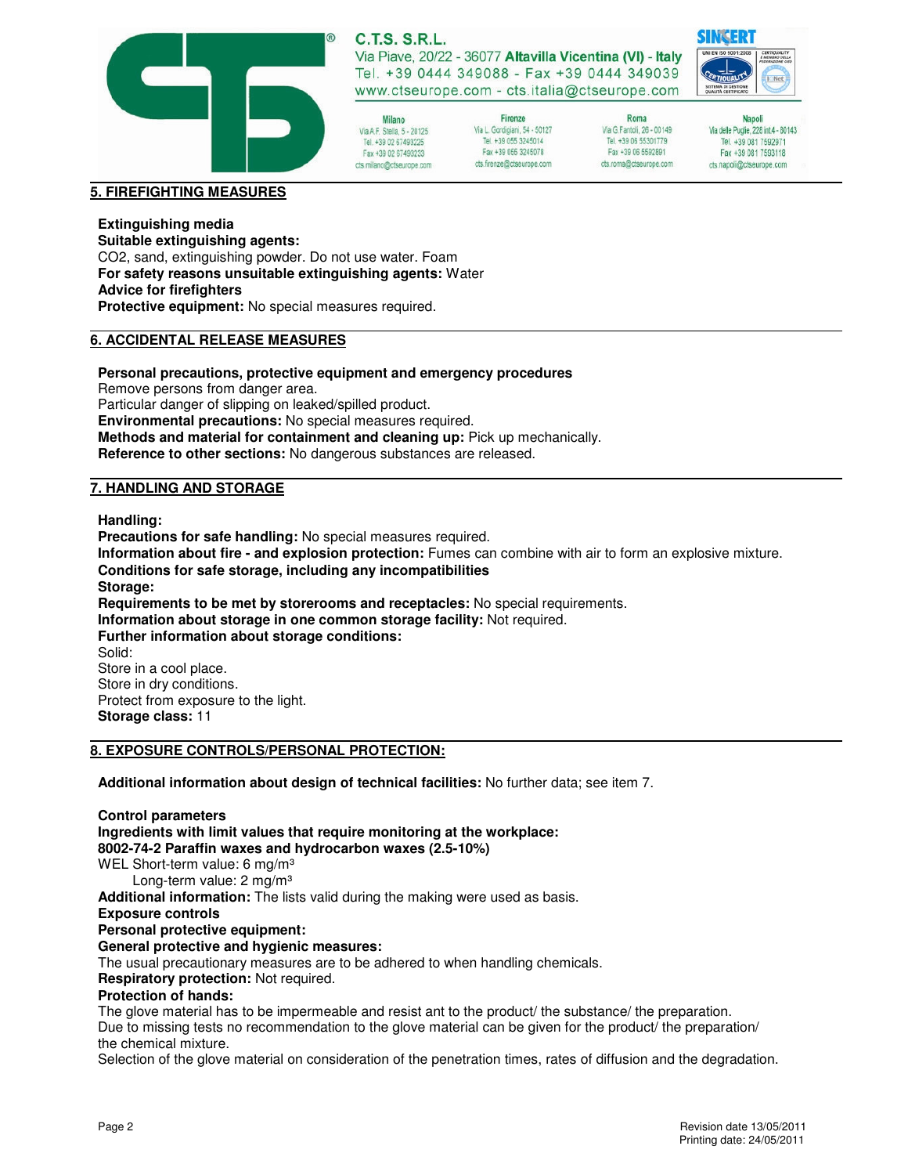

# **C.T.S. S.R.L.**

Via Piave, 20/22 - 36077 Altavilla Vicentina (VI) - Italy Tel. +39 0444 349088 - Fax +39 0444 349039 www.ctseurope.com - cts.italia@ctseurope.com

Milano Via A.F. Stella, 5 - 20125 Tel. +39 02 67493225 Fax +39 02 67493233 cts.milano@ctseurope.com

Firenze Via L. Gordigiani, 54 - 50127 Tel +39 055 3245014 Fax +39 055 3245078 cts.frenze@ctseurope.com

Roma Via G.Fantoli, 26 - 00149 Tel. +39 06 55301779 Fax +39 06 5592891 cts.roma@ctseurope.com

Napoli Via delle Puglie, 228 int.4 - 80143 Tel. +39 081 7592971 Fax +39 081 7593118 cts.napoli@ctseurope.com

#### **5. FIREFIGHTING MEASURES**

# **Extinguishing media**

**Suitable extinguishing agents:**  CO2, sand, extinguishing powder. Do not use water. Foam **For safety reasons unsuitable extinguishing agents:** Water **Advice for firefighters Protective equipment:** No special measures required.

#### **6. ACCIDENTAL RELEASE MEASURES**

#### **Personal precautions, protective equipment and emergency procedures**

Remove persons from danger area.

Particular danger of slipping on leaked/spilled product.

**Environmental precautions:** No special measures required.

**Methods and material for containment and cleaning up:** Pick up mechanically.

**Reference to other sections:** No dangerous substances are released.

#### **7. HANDLING AND STORAGE**

**Handling:** 

**Precautions for safe handling:** No special measures required. **Information about fire - and explosion protection:** Fumes can combine with air to form an explosive mixture. **Conditions for safe storage, including any incompatibilities Storage: Requirements to be met by storerooms and receptacles:** No special requirements. **Information about storage in one common storage facility:** Not required. **Further information about storage conditions:**  Solid: Store in a cool place. Store in dry conditions. Protect from exposure to the light. **Storage class:** 11

#### **8. EXPOSURE CONTROLS/PERSONAL PROTECTION:**

**Additional information about design of technical facilities:** No further data; see item 7.

**Control parameters Ingredients with limit values that require monitoring at the workplace: 8002-74-2 Paraffin waxes and hydrocarbon waxes (2.5-10%)**  WEL Short-term value: 6 mg/m<sup>3</sup> Long-term value: 2 mg/m<sup>3</sup> **Additional information:** The lists valid during the making were used as basis. **Exposure controls Personal protective equipment: General protective and hygienic measures:**  The usual precautionary measures are to be adhered to when handling chemicals. **Respiratory protection:** Not required. **Protection of hands:**  The glove material has to be impermeable and resist ant to the product/ the substance/ the preparation. Due to missing tests no recommendation to the glove material can be given for the product/ the preparation/ the chemical mixture.

Selection of the glove material on consideration of the penetration times, rates of diffusion and the degradation.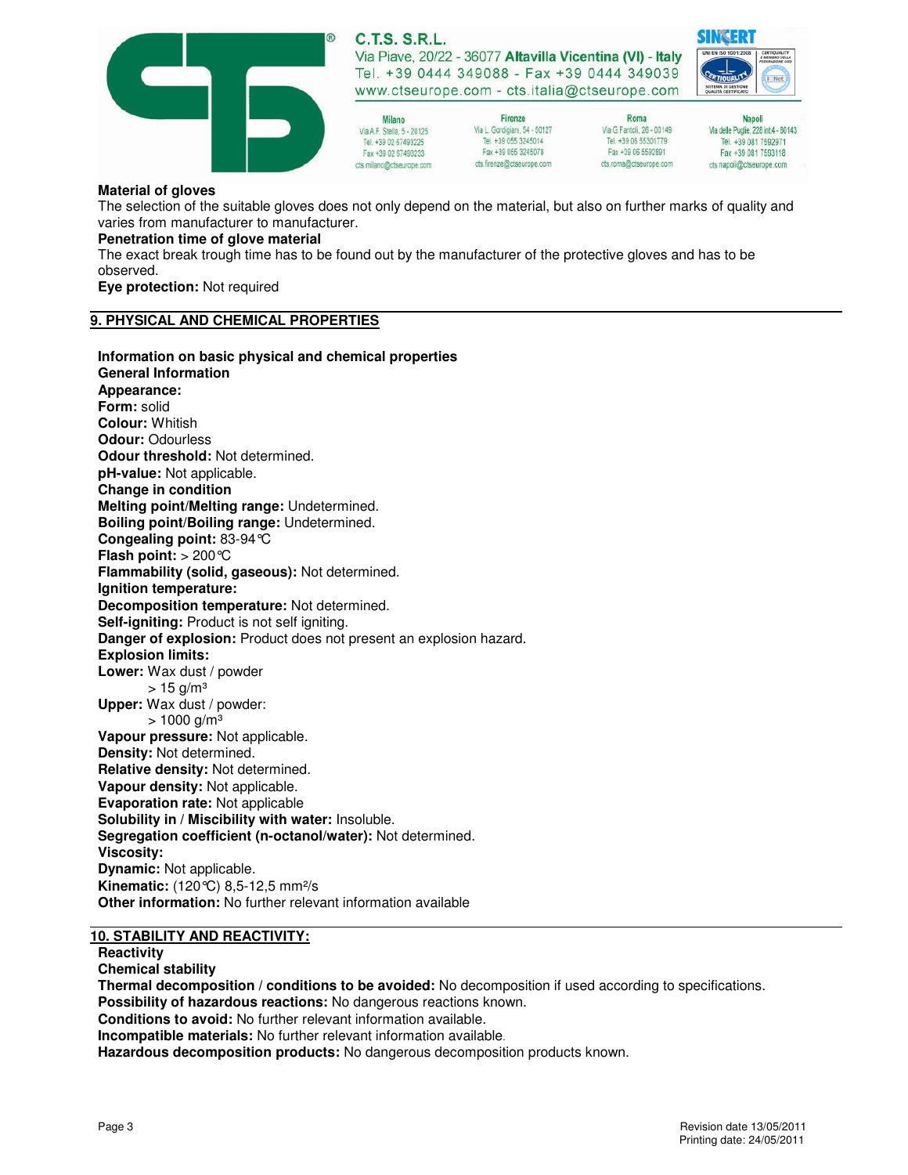

**C.T.S. S.R.L.** Via Piave, 20/22 - 36077 Altavilla Vicentina (VI) - Italy

Tel. +39 0444 349088 - Fax +39 0444 349039 www.ctseurope.com - cts.italia@ctseurope.com

Milano Via A.F. Stella, 5 - 20125 Tel. +39 02 67493225 Fax +39 02 67493233 cts.milano@ctseurope.com

Firenze Via L. Gordigiani, 54 - 50127 Tel +39 055 3245014 Fax +39 055 3245078 cts.frenze@ctseurope.com

Roma Via G.Fantoli, 26 - 00149 Tel. +39 06 55301779 Fax +39 06 5592891 cts.roma@ctseurope.com

Napoli Via delle Puglie, 228 int.4 - 80143 Tel. +39 081 7592971 Fax +39 081 7593118 cts.napoli@ctseurope.com

#### **Material of gloves**

The selection of the suitable gloves does not only depend on the material, but also on further marks of quality and varies from manufacturer to manufacturer.

## **Penetration time of glove material**

The exact break trough time has to be found out by the manufacturer of the protective gloves and has to be observed.

**Eye protection:** Not required

#### **9. PHYSICAL AND CHEMICAL PROPERTIES**

**Information on basic physical and chemical properties General Information Appearance: Form:** solid **Colour:** Whitish **Odour:** Odourless **Odour threshold:** Not determined. **pH-value:** Not applicable. **Change in condition Melting point/Melting range:** Undetermined. **Boiling point/Boiling range:** Undetermined. **Congealing point:** 83-94°C **Flash point:** > 200°C **Flammability (solid, gaseous):** Not determined. **Ignition temperature: Decomposition temperature:** Not determined. **Self-igniting:** Product is not self igniting. **Danger of explosion:** Product does not present an explosion hazard. **Explosion limits: Lower:** Wax dust / powder  $> 15$  g/m<sup>3</sup> **Upper:** Wax dust / powder:  $> 1000$  g/m<sup>3</sup> **Vapour pressure:** Not applicable. **Density:** Not determined. **Relative density:** Not determined. **Vapour density:** Not applicable. **Evaporation rate:** Not applicable **Solubility in / Miscibility with water:** Insoluble. **Segregation coefficient (n-octanol/water):** Not determined. **Viscosity: Dynamic:** Not applicable. **Kinematic:** (120°C) 8,5-12,5 mm²/s **Other information:** No further relevant information available

#### **10. STABILITY AND REACTIVITY:**

**Reactivity** 

**Chemical stability** 

**Thermal decomposition / conditions to be avoided:** No decomposition if used according to specifications. **Possibility of hazardous reactions:** No dangerous reactions known. **Conditions to avoid:** No further relevant information available. **Incompatible materials:** No further relevant information available. **Hazardous decomposition products:** No dangerous decomposition products known.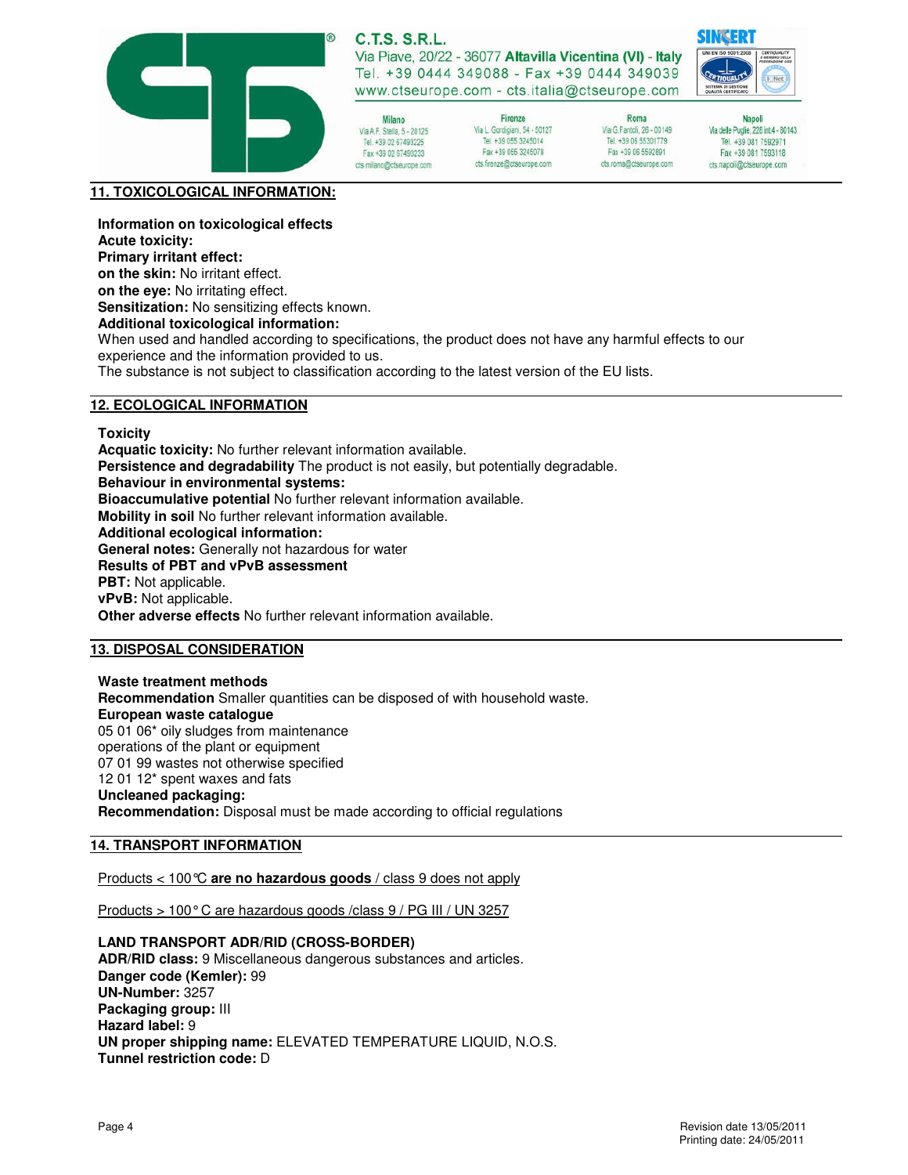

# **C.T.S. S.R.L.**

Via Piave, 20/22 - 36077 Altavilla Vicentina (VI) - Italy Tel. +39 0444 349088 - Fax +39 0444 349039 www.ctseurope.com - cts.italia@ctseurope.com

Milano Via A.F. Stella, 5 - 20125 Tel. +39 02 67493225 Fax +39 02 67493233 cts.milano@ctseurope.com

Firenze Via L. Gordigiani, 54 - 50127 Tel +39 055 3245014 Fax +39 055 3245078 cts.frenze@ctseurope.com

Roma Via G.Fantoli, 26 - 00149 Tel. +39 06 55301779 Fax +39 06 5592891 cts.roma@ctseurope.com

Napoli Via delle Puglie, 228 int.4 - 80143 Tel. +39 081 7592971 Fax +39 081 7593118 cts.napoli@ctseurope.com

**SINGER** 

## **11. TOXICOLOGICAL INFORMATION:**

**Information on toxicological effects** 

**Acute toxicity:** 

**Primary irritant effect:** 

**on the skin:** No irritant effect.

**on the eye:** No irritating effect.

**Sensitization:** No sensitizing effects known.

**Additional toxicological information:** 

When used and handled according to specifications, the product does not have any harmful effects to our experience and the information provided to us.

The substance is not subject to classification according to the latest version of the EU lists.

## **12. ECOLOGICAL INFORMATION**

**Toxicity** 

**Acquatic toxicity:** No further relevant information available. **Persistence and degradability** The product is not easily, but potentially degradable. **Behaviour in environmental systems: Bioaccumulative potential** No further relevant information available. **Mobility in soil** No further relevant information available. **Additional ecological information: General notes:** Generally not hazardous for water **Results of PBT and vPvB assessment PBT:** Not applicable. **vPvB:** Not applicable. **Other adverse effects** No further relevant information available.

## **13. DISPOSAL CONSIDERATION**

**Waste treatment methods Recommendation** Smaller quantities can be disposed of with household waste. **European waste catalogue**  05 01 06\* oily sludges from maintenance operations of the plant or equipment 07 01 99 wastes not otherwise specified 12 01 12\* spent waxes and fats **Uncleaned packaging: Recommendation:** Disposal must be made according to official regulations

#### **14. TRANSPORT INFORMATION**

Products < 100°C **are no hazardous goods** / class 9 does not apply

Products > 100° C are hazardous goods /class 9 / PG III / UN 3257

#### **LAND TRANSPORT ADR/RID (CROSS-BORDER)**

**ADR/RID class:** 9 Miscellaneous dangerous substances and articles. **Danger code (Kemler):** 99 **UN-Number:** 3257 **Packaging group:** III **Hazard label:** 9 **UN proper shipping name:** ELEVATED TEMPERATURE LIQUID, N.O.S. **Tunnel restriction code:** D